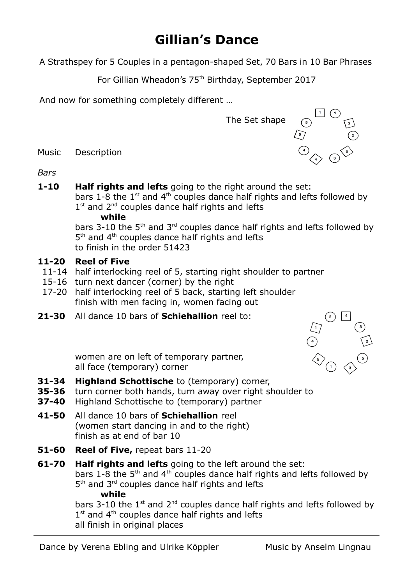## **Gillian's Dance**

A Strathspey for 5 Couples in a pentagon-shaped Set, 70 Bars in 10 Bar Phrases

For Gillian Wheadon's 75<sup>th</sup> Birthday, September 2017

And now for something completely different …



Music Description

*Bars*

**1-10 Half rights and lefts** going to the right around the set: bars 1-8 the 1<sup>st</sup> and 4<sup>th</sup> couples dance half rights and lefts followed by 1<sup>st</sup> and 2<sup>nd</sup> couples dance half rights and lefts

## **while**

bars 3-10 the  $5<sup>th</sup>$  and  $3<sup>rd</sup>$  couples dance half rights and lefts followed by 5<sup>th</sup> and 4<sup>th</sup> couples dance half rights and lefts to finish in the order 51423

## **11-20 Reel of Five**

- 11-14 half interlocking reel of 5, starting right shoulder to partner
- 15-16 turn next dancer (corner) by the right
- 17-20 half interlocking reel of 5 back, starting left shoulder finish with men facing in, women facing out
- **21-30** All dance 10 bars of **Schiehallion** reel to:



women are on left of temporary partner, all face (temporary) corner

- **31-34 Highland Schottische** to (temporary) corner,
- **35-36** turn corner both hands, turn away over right shoulder to
- **37-40** Highland Schottische to (temporary) partner
- **41-50** All dance 10 bars of **Schiehallion** reel (women start dancing in and to the right) finish as at end of bar 10
- **51-60 Reel of Five,** repeat bars 11-20
- **61-70 Half rights and lefts** going to the left around the set: bars 1-8 the 5<sup>th</sup> and 4<sup>th</sup> couples dance half rights and lefts followed by 5<sup>th</sup> and 3<sup>rd</sup> couples dance half rights and lefts  **while**

bars 3-10 the  $1^{st}$  and  $2^{nd}$  couples dance half rights and lefts followed by  $1<sup>st</sup>$  and  $4<sup>th</sup>$  couples dance half rights and lefts all finish in original places